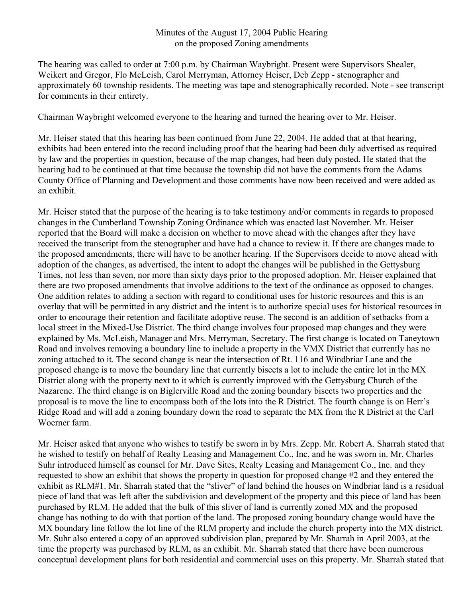## Minutes of the August 17, 2004 Public Hearing on the proposed Zoning amendments

The hearing was called to order at 7:00 p.m. by Chairman Waybright. Present were Supervisors Shealer, Weikert and Gregor, Flo McLeish, Carol Merryman, Attorney Heiser, Deb Zepp - stenographer and approximately 60 township residents. The meeting was tape and stenographically recorded. Note - see transcript for comments in their entirety.

Chairman Waybright welcomed everyone to the hearing and turned the hearing over to Mr. Heiser.

Mr. Heiser stated that this hearing has been continued from June 22, 2004. He added that at that hearing, exhibits had been entered into the record including proof that the hearing had been duly advertised as required by law and the properties in question, because of the map changes, had been duly posted. He stated that the hearing had to be continued at that time because the township did not have the comments from the Adams County Office of Planning and Development and those comments have now been received and were added as an exhibit.

Mr. Heiser stated that the purpose of the hearing is to take testimony and/or comments in regards to proposed changes in the Cumberland Township Zoning Ordinance which was enacted last November. Mr. Heiser reported that the Board will make a decision on whether to move ahead with the changes after they have received the transcript from the stenographer and have had a chance to review it. If there are changes made to the proposed amendments, there will have to be another hearing. If the Supervisors decide to move ahead with adoption of the changes, as advertised, the intent to adopt the changes will be published in the Gettysburg Times, not less than seven, nor more than sixty days prior to the proposed adoption. Mr. Heiser explained that there are two proposed amendments that involve additions to the text of the ordinance as opposed to changes. One addition relates to adding a section with regard to conditional uses for historic resources and this is an overlay that will be permitted in any district and the intent is to authorize special uses for historical resources in order to encourage their retention and facilitate adoptive reuse. The second is an addition of setbacks from a local street in the Mixed-Use District. The third change involves four proposed map changes and they were explained by Ms. McLeish, Manager and Mrs. Merryman, Secretary. The first change is located on Taneytown Road and involves removing a boundary line to include a property in the VMX District that currently has no zoning attached to it. The second change is near the intersection of Rt. 116 and Windbriar Lane and the proposed change is to move the boundary line that currently bisects a lot to include the entire lot in the MX District along with the property next to it which is currently improved with the Gettysburg Church of the Nazarene. The third change is on Biglerville Road and the zoning boundary bisects two properties and the proposal is to move the line to encompass both of the lots into the R District. The fourth change is on Herr's Ridge Road and will add a zoning boundary down the road to separate the MX from the R District at the Carl Woerner farm.

Mr. Heiser asked that anyone who wishes to testify be sworn in by Mrs. Zepp. Mr. Robert A. Sharrah stated that he wished to testify on behalf of Realty Leasing and Management Co., Inc, and he was sworn in. Mr. Charles Suhr introduced himself as counsel for Mr. Dave Sites, Realty Leasing and Management Co., Inc. and they requested to show an exhibit that shows the property in question for proposed change #2 and they entered the exhibit as RLM#1. Mr. Sharrah stated that the "sliver" of land behind the houses on Windbriar land is a residual piece of land that was left after the subdivision and development of the property and this piece of land has been purchased by RLM. He added that the bulk of this sliver of land is currently zoned MX and the proposed change has nothing to do with that portion of the land. The proposed zoning boundary change would have the MX boundary line follow the lot line of the RLM property and include the church property into the MX district. Mr. Suhr also entered a copy of an approved subdivision plan, prepared by Mr. Sharrah in April 2003, at the time the property was purchased by RLM, as an exhibit. Mr. Sharrah stated that there have been numerous conceptual development plans for both residential and commercial uses on this property. Mr. Sharrah stated that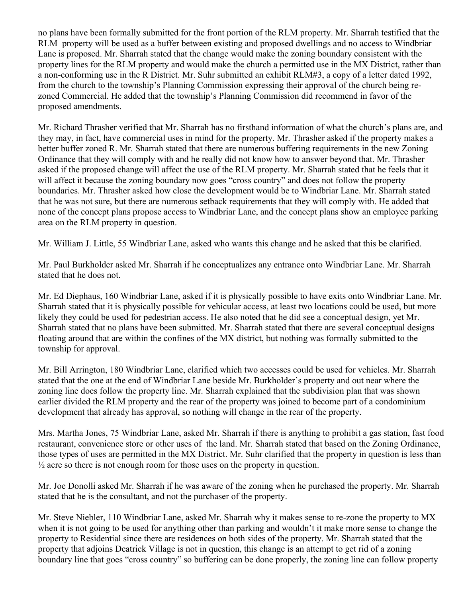no plans have been formally submitted for the front portion of the RLM property. Mr. Sharrah testified that the RLM property will be used as a buffer between existing and proposed dwellings and no access to Windbriar Lane is proposed. Mr. Sharrah stated that the change would make the zoning boundary consistent with the property lines for the RLM property and would make the church a permitted use in the MX District, rather than a non-conforming use in the R District. Mr. Suhr submitted an exhibit RLM#3, a copy of a letter dated 1992, from the church to the township's Planning Commission expressing their approval of the church being rezoned Commercial. He added that the township's Planning Commission did recommend in favor of the proposed amendments.

Mr. Richard Thrasher verified that Mr. Sharrah has no firsthand information of what the church's plans are, and they may, in fact, have commercial uses in mind for the property. Mr. Thrasher asked if the property makes a better buffer zoned R. Mr. Sharrah stated that there are numerous buffering requirements in the new Zoning Ordinance that they will comply with and he really did not know how to answer beyond that. Mr. Thrasher asked if the proposed change will affect the use of the RLM property. Mr. Sharrah stated that he feels that it will affect it because the zoning boundary now goes "cross country" and does not follow the property boundaries. Mr. Thrasher asked how close the development would be to Windbriar Lane. Mr. Sharrah stated that he was not sure, but there are numerous setback requirements that they will comply with. He added that none of the concept plans propose access to Windbriar Lane, and the concept plans show an employee parking area on the RLM property in question.

Mr. William J. Little, 55 Windbriar Lane, asked who wants this change and he asked that this be clarified.

Mr. Paul Burkholder asked Mr. Sharrah if he conceptualizes any entrance onto Windbriar Lane. Mr. Sharrah stated that he does not.

Mr. Ed Diephaus, 160 Windbriar Lane, asked if it is physically possible to have exits onto Windbriar Lane. Mr. Sharrah stated that it is physically possible for vehicular access, at least two locations could be used, but more likely they could be used for pedestrian access. He also noted that he did see a conceptual design, yet Mr. Sharrah stated that no plans have been submitted. Mr. Sharrah stated that there are several conceptual designs floating around that are within the confines of the MX district, but nothing was formally submitted to the township for approval.

Mr. Bill Arrington, 180 Windbriar Lane, clarified which two accesses could be used for vehicles. Mr. Sharrah stated that the one at the end of Windbriar Lane beside Mr. Burkholder's property and out near where the zoning line does follow the property line. Mr. Sharrah explained that the subdivision plan that was shown earlier divided the RLM property and the rear of the property was joined to become part of a condominium development that already has approval, so nothing will change in the rear of the property.

Mrs. Martha Jones, 75 Windbriar Lane, asked Mr. Sharrah if there is anything to prohibit a gas station, fast food restaurant, convenience store or other uses of the land. Mr. Sharrah stated that based on the Zoning Ordinance, those types of uses are permitted in the MX District. Mr. Suhr clarified that the property in question is less than  $\frac{1}{2}$  acre so there is not enough room for those uses on the property in question.

Mr. Joe Donolli asked Mr. Sharrah if he was aware of the zoning when he purchased the property. Mr. Sharrah stated that he is the consultant, and not the purchaser of the property.

Mr. Steve Niebler, 110 Windbriar Lane, asked Mr. Sharrah why it makes sense to re-zone the property to MX when it is not going to be used for anything other than parking and wouldn't it make more sense to change the property to Residential since there are residences on both sides of the property. Mr. Sharrah stated that the property that adjoins Deatrick Village is not in question, this change is an attempt to get rid of a zoning boundary line that goes "cross country" so buffering can be done properly, the zoning line can follow property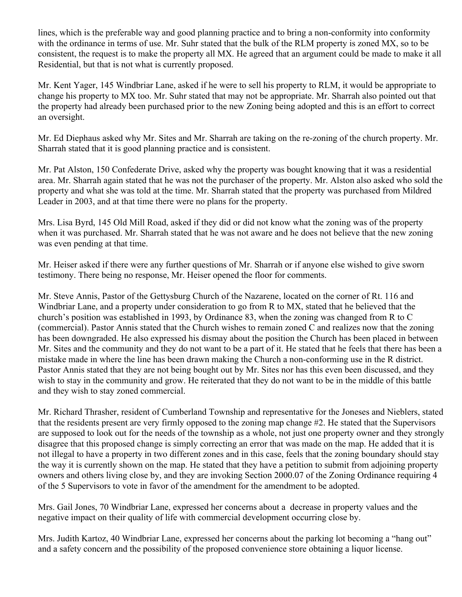lines, which is the preferable way and good planning practice and to bring a non-conformity into conformity with the ordinance in terms of use. Mr. Suhr stated that the bulk of the RLM property is zoned MX, so to be consistent, the request is to make the property all MX. He agreed that an argument could be made to make it all Residential, but that is not what is currently proposed.

Mr. Kent Yager, 145 Windbriar Lane, asked if he were to sell his property to RLM, it would be appropriate to change his property to MX too. Mr. Suhr stated that may not be appropriate. Mr. Sharrah also pointed out that the property had already been purchased prior to the new Zoning being adopted and this is an effort to correct an oversight.

Mr. Ed Diephaus asked why Mr. Sites and Mr. Sharrah are taking on the re-zoning of the church property. Mr. Sharrah stated that it is good planning practice and is consistent.

Mr. Pat Alston, 150 Confederate Drive, asked why the property was bought knowing that it was a residential area. Mr. Sharrah again stated that he was not the purchaser of the property. Mr. Alston also asked who sold the property and what she was told at the time. Mr. Sharrah stated that the property was purchased from Mildred Leader in 2003, and at that time there were no plans for the property.

Mrs. Lisa Byrd, 145 Old Mill Road, asked if they did or did not know what the zoning was of the property when it was purchased. Mr. Sharrah stated that he was not aware and he does not believe that the new zoning was even pending at that time.

Mr. Heiser asked if there were any further questions of Mr. Sharrah or if anyone else wished to give sworn testimony. There being no response, Mr. Heiser opened the floor for comments.

Mr. Steve Annis, Pastor of the Gettysburg Church of the Nazarene, located on the corner of Rt. 116 and Windbriar Lane, and a property under consideration to go from R to MX, stated that he believed that the church's position was established in 1993, by Ordinance 83, when the zoning was changed from R to C (commercial). Pastor Annis stated that the Church wishes to remain zoned C and realizes now that the zoning has been downgraded. He also expressed his dismay about the position the Church has been placed in between Mr. Sites and the community and they do not want to be a part of it. He stated that he feels that there has been a mistake made in where the line has been drawn making the Church a non-conforming use in the R district. Pastor Annis stated that they are not being bought out by Mr. Sites nor has this even been discussed, and they wish to stay in the community and grow. He reiterated that they do not want to be in the middle of this battle and they wish to stay zoned commercial.

Mr. Richard Thrasher, resident of Cumberland Township and representative for the Joneses and Nieblers, stated that the residents present are very firmly opposed to the zoning map change #2. He stated that the Supervisors are supposed to look out for the needs of the township as a whole, not just one property owner and they strongly disagree that this proposed change is simply correcting an error that was made on the map. He added that it is not illegal to have a property in two different zones and in this case, feels that the zoning boundary should stay the way it is currently shown on the map. He stated that they have a petition to submit from adjoining property owners and others living close by, and they are invoking Section 2000.07 of the Zoning Ordinance requiring 4 of the 5 Supervisors to vote in favor of the amendment for the amendment to be adopted.

Mrs. Gail Jones, 70 Windbriar Lane, expressed her concerns about a decrease in property values and the negative impact on their quality of life with commercial development occurring close by.

Mrs. Judith Kartoz, 40 Windbriar Lane, expressed her concerns about the parking lot becoming a "hang out" and a safety concern and the possibility of the proposed convenience store obtaining a liquor license.